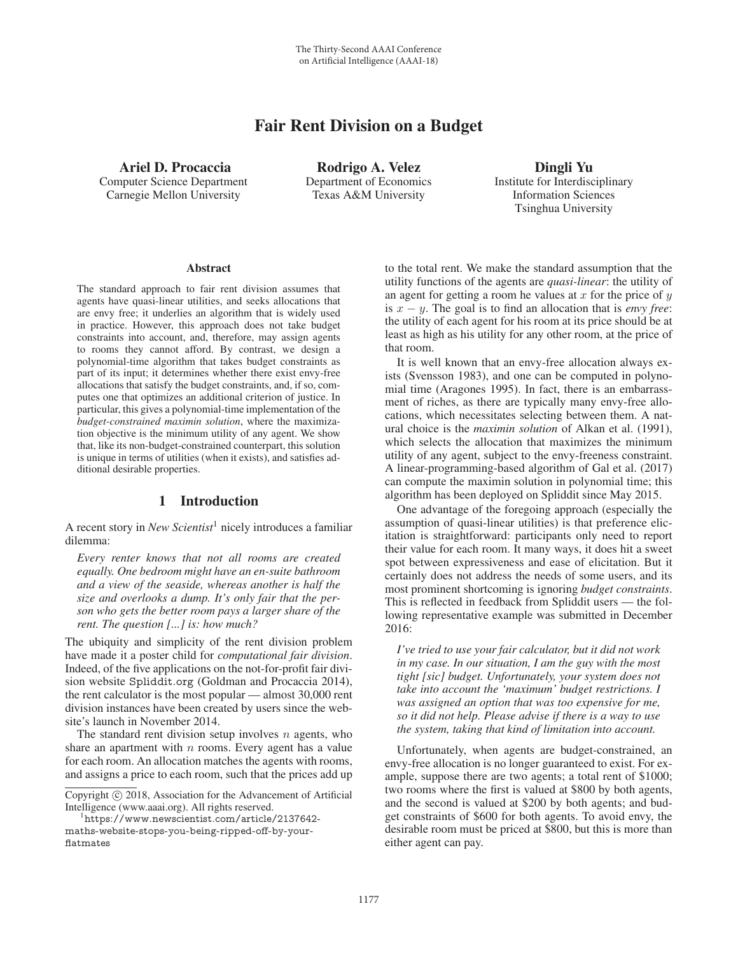# Fair Rent Division on a Budget

Ariel D. Procaccia Computer Science Department Carnegie Mellon University

Rodrigo A. Velez Department of Economics Texas A&M University

Dingli Yu Institute for Interdisciplinary Information Sciences Tsinghua University

#### Abstract

The standard approach to fair rent division assumes that agents have quasi-linear utilities, and seeks allocations that are envy free; it underlies an algorithm that is widely used in practice. However, this approach does not take budget constraints into account, and, therefore, may assign agents to rooms they cannot afford. By contrast, we design a polynomial-time algorithm that takes budget constraints as part of its input; it determines whether there exist envy-free allocations that satisfy the budget constraints, and, if so, computes one that optimizes an additional criterion of justice. In particular, this gives a polynomial-time implementation of the *budget-constrained maximin solution*, where the maximization objective is the minimum utility of any agent. We show that, like its non-budget-constrained counterpart, this solution is unique in terms of utilities (when it exists), and satisfies additional desirable properties.

# 1 Introduction

A recent story in *New Scientist*<sup>1</sup> nicely introduces a familiar dilemma:

*Every renter knows that not all rooms are created equally. One bedroom might have an en-suite bathroom and a view of the seaside, whereas another is half the size and overlooks a dump. It's only fair that the person who gets the better room pays a larger share of the rent. The question [...] is: how much?*

The ubiquity and simplicity of the rent division problem have made it a poster child for *computational fair division*. Indeed, of the five applications on the not-for-profit fair division website Spliddit.org (Goldman and Procaccia 2014), the rent calculator is the most popular — almost 30,000 rent division instances have been created by users since the website's launch in November 2014.

The standard rent division setup involves  $n$  agents, who share an apartment with  $n$  rooms. Every agent has a value for each room. An allocation matches the agents with rooms, and assigns a price to each room, such that the prices add up

 $^{\rm 1}$ https://www.newscientist.com/article/2137642maths-website-stops-you-being-ripped-off-by-yourflatmates

to the total rent. We make the standard assumption that the utility functions of the agents are *quasi-linear*: the utility of an agent for getting a room he values at  $x$  for the price of  $y$ is x − y. The goal is to find an allocation that is *envy free*: the utility of each agent for his room at its price should be at least as high as his utility for any other room, at the price of that room.

It is well known that an envy-free allocation always exists (Svensson 1983), and one can be computed in polynomial time (Aragones 1995). In fact, there is an embarrassment of riches, as there are typically many envy-free allocations, which necessitates selecting between them. A natural choice is the *maximin solution* of Alkan et al. (1991), which selects the allocation that maximizes the minimum utility of any agent, subject to the envy-freeness constraint. A linear-programming-based algorithm of Gal et al. (2017) can compute the maximin solution in polynomial time; this algorithm has been deployed on Spliddit since May 2015.

One advantage of the foregoing approach (especially the assumption of quasi-linear utilities) is that preference elicitation is straightforward: participants only need to report their value for each room. It many ways, it does hit a sweet spot between expressiveness and ease of elicitation. But it certainly does not address the needs of some users, and its most prominent shortcoming is ignoring *budget constraints*. This is reflected in feedback from Spliddit users — the following representative example was submitted in December 2016:

*I've tried to use your fair calculator, but it did not work in my case. In our situation, I am the guy with the most tight [sic] budget. Unfortunately, your system does not take into account the 'maximum' budget restrictions. I was assigned an option that was too expensive for me, so it did not help. Please advise if there is a way to use the system, taking that kind of limitation into account.*

Unfortunately, when agents are budget-constrained, an envy-free allocation is no longer guaranteed to exist. For example, suppose there are two agents; a total rent of \$1000; two rooms where the first is valued at \$800 by both agents, and the second is valued at \$200 by both agents; and budget constraints of \$600 for both agents. To avoid envy, the desirable room must be priced at \$800, but this is more than either agent can pay.

Copyright  $\odot$  2018, Association for the Advancement of Artificial Intelligence (www.aaai.org). All rights reserved.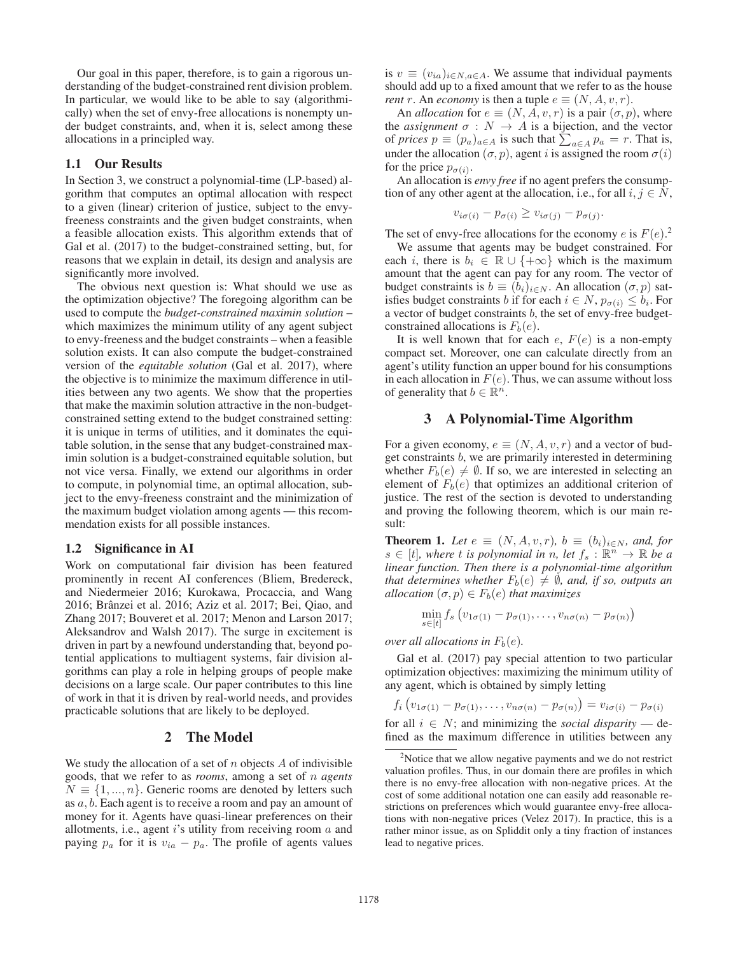Our goal in this paper, therefore, is to gain a rigorous understanding of the budget-constrained rent division problem. In particular, we would like to be able to say (algorithmically) when the set of envy-free allocations is nonempty under budget constraints, and, when it is, select among these allocations in a principled way.

### 1.1 Our Results

In Section 3, we construct a polynomial-time (LP-based) algorithm that computes an optimal allocation with respect to a given (linear) criterion of justice, subject to the envyfreeness constraints and the given budget constraints, when a feasible allocation exists. This algorithm extends that of Gal et al. (2017) to the budget-constrained setting, but, for reasons that we explain in detail, its design and analysis are significantly more involved.

The obvious next question is: What should we use as the optimization objective? The foregoing algorithm can be used to compute the *budget-constrained maximin solution* – which maximizes the minimum utility of any agent subject to envy-freeness and the budget constraints – when a feasible solution exists. It can also compute the budget-constrained version of the *equitable solution* (Gal et al. 2017), where the objective is to minimize the maximum difference in utilities between any two agents. We show that the properties that make the maximin solution attractive in the non-budgetconstrained setting extend to the budget constrained setting: it is unique in terms of utilities, and it dominates the equitable solution, in the sense that any budget-constrained maximin solution is a budget-constrained equitable solution, but not vice versa. Finally, we extend our algorithms in order to compute, in polynomial time, an optimal allocation, subject to the envy-freeness constraint and the minimization of the maximum budget violation among agents — this recommendation exists for all possible instances.

### 1.2 Significance in AI

Work on computational fair division has been featured prominently in recent AI conferences (Bliem, Bredereck, and Niedermeier 2016; Kurokawa, Procaccia, and Wang 2016; Branzei et al. 2016; Aziz et al. 2017; Bei, Qiao, and ˆ Zhang 2017; Bouveret et al. 2017; Menon and Larson 2017; Aleksandrov and Walsh 2017). The surge in excitement is driven in part by a newfound understanding that, beyond potential applications to multiagent systems, fair division algorithms can play a role in helping groups of people make decisions on a large scale. Our paper contributes to this line of work in that it is driven by real-world needs, and provides practicable solutions that are likely to be deployed.

# 2 The Model

We study the allocation of a set of  $n$  objects  $A$  of indivisible goods, that we refer to as *rooms*, among a set of n *agents*  $N \equiv \{1, ..., n\}$ . Generic rooms are denoted by letters such as a, b. Each agent is to receive a room and pay an amount of money for it. Agents have quasi-linear preferences on their allotments, i.e., agent  $i$ 's utility from receiving room  $a$  and paying  $p_a$  for it is  $v_{ia} - p_a$ . The profile of agents values

is  $v \equiv (v_{ia})_{i \in N, a \in A}$ . We assume that individual payments should add up to a fixed amount that we refer to as the house *rent* r. An *economy* is then a tuple  $e \equiv (N, A, v, r)$ .

An *allocation* for  $e \equiv (N, A, v, r)$  is a pair  $(\sigma, p)$ , where the *assignment*  $\sigma : N \to A$  is a bijection, and the vector of *prices*  $p \equiv (p_a)_{a \in A}$  is such that  $\sum_{a \in A} p_a = r$ . That is, under the allocation  $(\sigma, p)$ , agent *i* is assigned the room  $\sigma(i)$ for the price  $p_{\sigma(i)}$ .

An allocation is *envy free* if no agent prefers the consumption of any other agent at the allocation, i.e., for all  $i, j \in N$ ,

$$
v_{i\sigma(i)} - p_{\sigma(i)} \ge v_{i\sigma(j)} - p_{\sigma(j)}.
$$

The set of envy-free allocations for the economy e is  $F(e)$ .<sup>2</sup><br>We assume that agents may be budget constrained. For

We assume that agents may be budget constrained. For each i, there is  $b_i \in \mathbb{R} \cup \{+\infty\}$  which is the maximum amount that the agent can pay for any room. The vector of budget constraints is  $b \equiv (b_i)_{i \in N}$ . An allocation  $(\sigma, p)$  satisfies budget constraints b if for each  $i \in N$ ,  $p_{\sigma(i)} \leq b_i$ . For a vector of budget constraints  $b$ , the set of envy-free budgetconstrained allocations is  $F_b(e)$ .

It is well known that for each  $e$ ,  $F(e)$  is a non-empty compact set. Moreover, one can calculate directly from an agent's utility function an upper bound for his consumptions in each allocation in  $F(e)$ . Thus, we can assume without loss of generality that  $b \in \mathbb{R}^n$ .

# 3 A Polynomial-Time Algorithm

For a given economy,  $e \equiv (N, A, v, r)$  and a vector of budget constraints b, we are primarily interested in determining whether  $F_b(e) \neq \emptyset$ . If so, we are interested in selecting an element of  $F_b(e)$  that optimizes an additional criterion of justice. The rest of the section is devoted to understanding and proving the following theorem, which is our main result:

**Theorem 1.** *Let*  $e \equiv (N, A, v, r)$ *,*  $b \equiv (b_i)_{i \in N}$ *, and, for*  $s \in [t]$ *, where* t *is polynomial in* n, let  $f_s : \mathbb{R}^n \to \mathbb{R}$  be a *linear function. Then there is a polynomial-time algorithm that determines whether*  $F_b(e) \neq \emptyset$ *, and, if so, outputs an allocation*  $(\sigma, p) \in F_b(e)$  *that maximizes* 

$$
\min_{s\in[t]} f_s \left(v_{1\sigma(1)} - p_{\sigma(1)}, \ldots, v_{n\sigma(n)} - p_{\sigma(n)}\right)
$$

*over all allocations in*  $F_b(e)$ *.* 

Gal et al. (2017) pay special attention to two particular optimization objectives: maximizing the minimum utility of any agent, which is obtained by simply letting

$$
f_i\left(v_{1\sigma(1)}-p_{\sigma(1)},\ldots,v_{n\sigma(n)}-p_{\sigma(n)}\right)=v_{i\sigma(i)}-p_{\sigma(i)}
$$

for all  $i \in N$ ; and minimizing the *social disparity* — defined as the maximum difference in utilities between any

<sup>&</sup>lt;sup>2</sup>Notice that we allow negative payments and we do not restrict valuation profiles. Thus, in our domain there are profiles in which there is no envy-free allocation with non-negative prices. At the cost of some additional notation one can easily add reasonable restrictions on preferences which would guarantee envy-free allocations with non-negative prices (Velez 2017). In practice, this is a rather minor issue, as on Spliddit only a tiny fraction of instances lead to negative prices.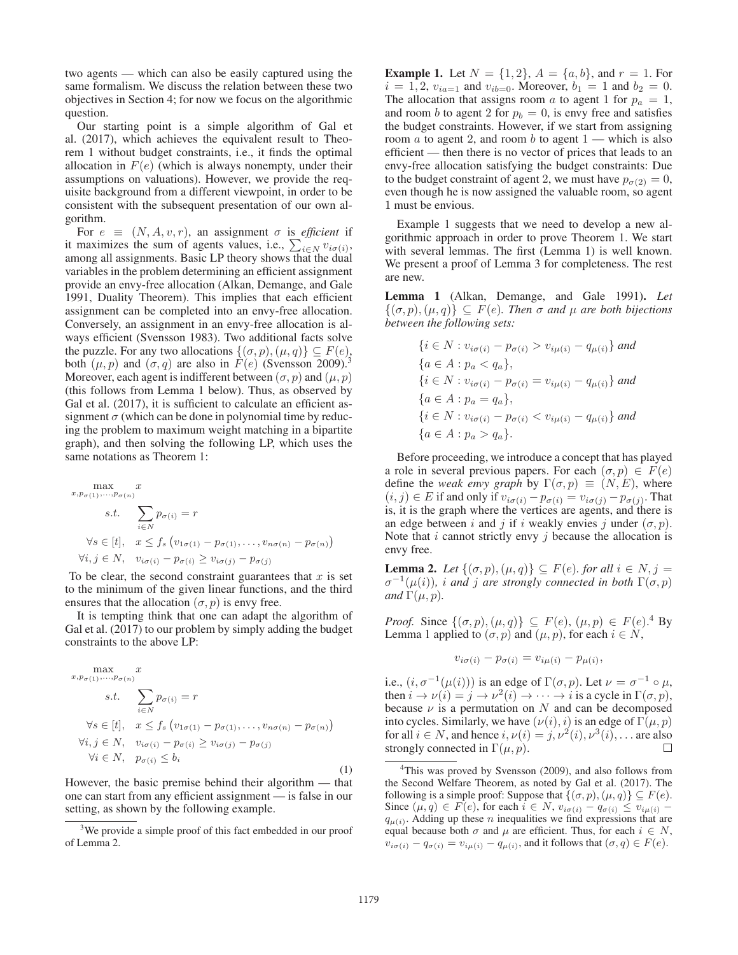two agents — which can also be easily captured using the same formalism. We discuss the relation between these two objectives in Section 4; for now we focus on the algorithmic question.

Our starting point is a simple algorithm of Gal et al. (2017), which achieves the equivalent result to Theorem 1 without budget constraints, i.e., it finds the optimal allocation in  $F(e)$  (which is always nonempty, under their assumptions on valuations). However, we provide the requisite background from a different viewpoint, in order to be consistent with the subsequent presentation of our own algorithm.

For  $e \equiv (N, A, v, r)$ , an assignment  $\sigma$  is *efficient* if it maximizes the sum of agents values, i.e.,  $\sum_{i \in N} v_{i\sigma(i)}$ among all assignments. Basic LP theory shows that the dual variables in the problem determining an efficient assignment provide an envy-free allocation (Alkan, Demange, and Gale 1991, Duality Theorem). This implies that each efficient assignment can be completed into an envy-free allocation. Conversely, an assignment in an envy-free allocation is always efficient (Svensson 1983). Two additional facts solve the puzzle. For any two allocations  $\{(\sigma, p), (\mu, q)\} \subseteq F(e)$ , both  $(\mu, p)$  and  $(\sigma, q)$  are also in  $\mathbf{F}(e)$  (Svensson 2009).<sup>3</sup> Moreover, each agent is indifferent between  $(\sigma, p)$  and  $(\mu, p)$ (this follows from Lemma 1 below). Thus, as observed by Gal et al.  $(2017)$ , it is sufficient to calculate an efficient assignment  $\sigma$  (which can be done in polynomial time by reducing the problem to maximum weight matching in a bipartite graph), and then solving the following LP, which uses the same notations as Theorem 1:

$$
\max_{x, p_{\sigma(1)}, \dots, p_{\sigma(n)}} x
$$
\n
$$
s.t. \sum_{i \in N} p_{\sigma(i)} = r
$$
\n
$$
\forall s \in [t], \quad x \le f_s \left( v_{1\sigma(1)} - p_{\sigma(1)}, \dots, v_{n\sigma(n)} - p_{\sigma(n)} \right)
$$
\n
$$
\forall i, j \in N, \quad v_{i\sigma(i)} - p_{\sigma(i)} \ge v_{i\sigma(j)} - p_{\sigma(j)}
$$

To be clear, the second constraint guarantees that  $x$  is set to the minimum of the given linear functions, and the third ensures that the allocation  $(\sigma, p)$  is envy free.

It is tempting think that one can adapt the algorithm of Gal et al. (2017) to our problem by simply adding the budget constraints to the above LP:

$$
\max_{x, p_{\sigma(1)}, \dots, p_{\sigma(n)}} x
$$
\n
$$
s.t. \sum_{i \in N} p_{\sigma(i)} = r
$$
\n
$$
\forall s \in [t], \quad x \le f_s \left( v_{1\sigma(1)} - p_{\sigma(1)}, \dots, v_{n\sigma(n)} - p_{\sigma(n)} \right)
$$
\n
$$
\forall i, j \in N, \quad v_{i\sigma(i)} - p_{\sigma(i)} \ge v_{i\sigma(j)} - p_{\sigma(j)}
$$
\n
$$
\forall i \in N, \quad p_{\sigma(i)} \le b_i
$$
\n(1)

However, the basic premise behind their algorithm — that one can start from any efficient assignment — is false in our setting, as shown by the following example.

**Example 1.** Let  $N = \{1, 2\}$ ,  $A = \{a, b\}$ , and  $r = 1$ . For  $i = 1, 2, v_{ia=1}$  and  $v_{ib=0}$ . Moreover,  $b_1 = 1$  and  $b_2 = 0$ . The allocation that assigns room a to agent 1 for  $p_a = 1$ , and room b to agent 2 for  $p_b = 0$ , is envy free and satisfies the budget constraints. However, if we start from assigning room  $a$  to agent 2, and room  $b$  to agent  $1$  — which is also efficient — then there is no vector of prices that leads to an envy-free allocation satisfying the budget constraints: Due to the budget constraint of agent 2, we must have  $p_{\sigma(2)} = 0$ , even though he is now assigned the valuable room, so agent 1 must be envious.

Example 1 suggests that we need to develop a new algorithmic approach in order to prove Theorem 1. We start with several lemmas. The first (Lemma 1) is well known. We present a proof of Lemma 3 for completeness. The rest are new.

Lemma 1 (Alkan, Demange, and Gale 1991). *Let*  $\{(\sigma, p), (\mu, q)\}\subseteq F(e)$ . Then  $\sigma$  and  $\mu$  are both bijections *between the following sets:*

$$
\{i \in N : v_{i\sigma(i)} - p_{\sigma(i)} > v_{i\mu(i)} - q_{\mu(i)}\} \text{ and}
$$
\n
$$
\{a \in A : p_a < q_a\},
$$
\n
$$
\{i \in N : v_{i\sigma(i)} - p_{\sigma(i)} = v_{i\mu(i)} - q_{\mu(i)}\} \text{ and}
$$
\n
$$
\{a \in A : p_a = q_a\},
$$
\n
$$
\{i \in N : v_{i\sigma(i)} - p_{\sigma(i)} < v_{i\mu(i)} - q_{\mu(i)}\} \text{ and}
$$
\n
$$
\{a \in A : p_a > q_a\}.
$$

Before proceeding, we introduce a concept that has played a role in several previous papers. For each  $(\sigma, p) \in F(e)$ define the *weak envy graph* by  $\Gamma(\sigma, p) \equiv (N, E)$ , where  $(i, j) \in E$  if and only if  $v_{i\sigma(i)} - p_{\sigma(i)} = v_{i\sigma(j)} - p_{\sigma(j)}$ . That is, it is the graph where the vertices are agents, and there is an edge between i and j if i weakly envies j under  $(\sigma, p)$ . Note that  $i$  cannot strictly envy  $j$  because the allocation is envy free.

**Lemma 2.** *Let*  $\{(\sigma, p), (\mu, q)\} \subseteq F(e)$ *. for all*  $i \in N$ *,*  $j =$  $\sigma^{-1}(\mu(i))$ *, i and j are strongly connected in both*  $\Gamma(\sigma, p)$ *and*  $\Gamma(\mu, p)$ *.* 

*Proof.* Since  $\{(\sigma, p), (\mu, q)\} \subseteq F(e), (\mu, p) \in F(e)^{4}$  By Lemma 1 annihilate  $(\sigma, n)$  and  $(\mu, n)$  for each  $i \in N$ Lemma 1 applied to  $(\sigma, p)$  and  $(\mu, p)$ , for each  $i \in N$ ,

$$
v_{i\sigma(i)} - p_{\sigma(i)} = v_{i\mu(i)} - p_{\mu(i)},
$$

i.e.,  $(i, \sigma^{-1}(\mu(i)))$  is an edge of  $\Gamma(\sigma, p)$ . Let  $\nu = \sigma^{-1} \circ \mu$ , then  $i \to \nu(i) = j \to \nu^2(i) \to \cdots \to i$  is a cycle in  $\Gamma(\sigma, p)$ , because  $\nu$  is a permutation on N and can be decomposed into cycles. Similarly, we have  $(\nu(i), i)$  is an edge of  $\Gamma(\mu, p)$ for all  $i \in N$ , and hence  $i, \nu(i) = j, \nu^2(i), \nu^3(i), \ldots$  are also strongly connected in  $\Gamma(\mu, n)$ strongly connected in  $\Gamma(\mu, p)$ .

<sup>&</sup>lt;sup>3</sup>We provide a simple proof of this fact embedded in our proof of Lemma 2.

<sup>&</sup>lt;sup>4</sup>This was proved by Svensson (2009), and also follows from the Second Welfare Theorem, as noted by Gal et al. (2017). The following is a simple proof: Suppose that  $\{(\sigma, p), (\mu, q)\} \subseteq F(e)$ . Since  $(\mu, q) \in F(e)$ , for each  $i \in N$ ,  $v_{i\sigma(i)} - q_{\sigma(i)} \le v_{i\mu(i)}$  $q_{\mu(i)}$ . Adding up these n inequalities we find expressions that are equal because both  $\sigma$  and  $\mu$  are efficient. Thus, for each  $i \in N$ ,  $v_{i\sigma(i)} - q_{\sigma(i)} = v_{i\mu(i)} - q_{\mu(i)}$ , and it follows that  $(\sigma, q) \in F(e)$ .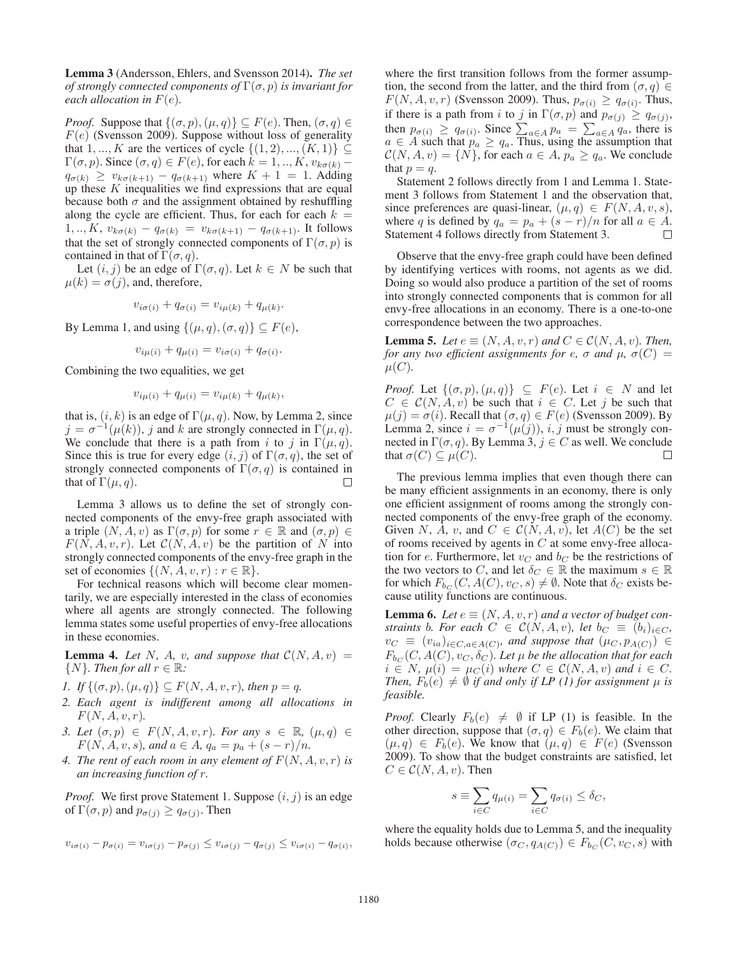Lemma 3 (Andersson, Ehlers, and Svensson 2014). *The set of strongly connected components of*  $\Gamma(\sigma, p)$  *is invariant for each allocation in*  $F(e)$ *.* 

*Proof.* Suppose that  $\{(\sigma, p), (\mu, q)\} \subseteq F(e)$ . Then,  $(\sigma, q) \in$  $F(e)$  (Svensson 2009). Suppose without loss of generality that 1, ..., K are the vertices of cycle  $\{(1, 2), ..., (K, 1)\}\subseteq$  $\Gamma(\sigma, p)$ . Since  $(\sigma, q) \in F(e)$ , for each  $k = 1, ..., K$ ,  $v_{k\sigma(k)}$  –  $q_{\sigma(k)} \geq v_{k\sigma(k+1)} - q_{\sigma(k+1)}$  where  $K + 1 = 1$ . Adding up these  $K$  inequalities we find expressions that are equal because both  $\sigma$  and the assignment obtained by reshuffling along the cycle are efficient. Thus, for each for each  $k =$  $1, ..., K$ ,  $v_{k\sigma(k)} - q_{\sigma(k)} = v_{k\sigma(k+1)} - q_{\sigma(k+1)}$ . It follows that the set of strongly connected components of  $\Gamma(\sigma, p)$  is contained in that of  $\Gamma(\sigma, q)$ .

Let  $(i, j)$  be an edge of  $\Gamma(\sigma, q)$ . Let  $k \in N$  be such that  $\mu(k) = \sigma(j)$ , and, therefore,

$$
v_{i\sigma(i)} + q_{\sigma(i)} = v_{i\mu(k)} + q_{\mu(k)}.
$$

By Lemma 1, and using  $\{(\mu, q), (\sigma, q)\} \subseteq F(e)$ ,

$$
v_{i\mu(i)} + q_{\mu(i)} = v_{i\sigma(i)} + q_{\sigma(i)}.
$$

Combining the two equalities, we get

$$
v_{i\mu(i)} + q_{\mu(i)} = v_{i\mu(k)} + q_{\mu(k)},
$$

that is,  $(i, k)$  is an edge of  $\Gamma(\mu, q)$ . Now, by Lemma 2, since  $j = \sigma^{-1}(\mu(k))$ , j and k are strongly connected in  $\Gamma(\mu, q)$ . We conclude that there is a path from i to j in  $\Gamma(\mu, q)$ . Since this is true for every edge  $(i, j)$  of  $\Gamma(\sigma, q)$ , the set of strongly connected components of  $\Gamma(\sigma, q)$  is contained in that of  $\Gamma(u, q)$ . that of  $\Gamma(\mu, q)$ .

Lemma 3 allows us to define the set of strongly connected components of the envy-free graph associated with a triple  $(N, A, v)$  as  $\Gamma(\sigma, p)$  for some  $r \in \mathbb{R}$  and  $(\sigma, p) \in$  $F(N, A, v, r)$ . Let  $C(N, A, v)$  be the partition of N into strongly connected components of the envy-free graph in the set of economies  $\{(N, A, v, r) : r \in \mathbb{R}\}.$ 

For technical reasons which will become clear momentarily, we are especially interested in the class of economies where all agents are strongly connected. The following lemma states some useful properties of envy-free allocations in these economies.

**Lemma 4.** Let N, A, v, and suppose that  $C(N, A, v)$  =  $\{N\}$ *. Then for all*  $r \in \mathbb{R}$ *:* 

- *1. If*  $\{(\sigma, p), (\mu, q)\} \subseteq F(N, A, v, r)$ *, then*  $p = q$ *.*
- *2. Each agent is indifferent among all allocations in*  $F(N, A, v, r)$ .
- *3. Let*  $(\sigma, p) \in F(N, A, v, r)$ *. For any*  $s \in \mathbb{R}$ *,*  $(\mu, q) \in$  $F(N, A, v, s)$ *, and*  $a \in A$ *,*  $q_a = p_a + (s - r)/n$ *.*
- 4. The rent of each room in any element of  $F(N, A, v, r)$  is *an increasing function of* r*.*

*Proof.* We first prove Statement 1. Suppose  $(i, j)$  is an edge of  $\Gamma(\sigma, p)$  and  $p_{\sigma(j)} \geq q_{\sigma(j)}$ . Then

$$
v_{i\sigma(i)} - p_{\sigma(i)} = v_{i\sigma(j)} - p_{\sigma(j)} \le v_{i\sigma(j)} - q_{\sigma(j)} \le v_{i\sigma(i)} - q_{\sigma(i)},
$$

where the first transition follows from the former assumption, the second from the latter, and the third from  $(\sigma, q) \in$  $F(N, A, v, r)$  (Svensson 2009). Thus,  $p_{\sigma(i)} \geq q_{\sigma(i)}$ . Thus, if there is a path from i to j in  $\Gamma(\sigma, p)$  and  $p_{\sigma(j)} \geq q_{\sigma(j)},$ then  $p_{\sigma(i)} \geq q_{\sigma(i)}$ . Since  $\sum_{a \in A} p_a = \sum_{a \in A} q_a$ , there is  $a \in A$  such that  $p_a > q_a$ . Thus using the assumption that  $a \in A$  such that  $p_a \geq q_a$ . Thus, using the assumption that  $\mathcal{C}(N, A, v) = \{N\}$ , for each  $a \in A$ ,  $p_a \geq q_a$ . We conclude that  $p = q$ .

Statement 2 follows directly from 1 and Lemma 1. Statement 3 follows from Statement 1 and the observation that, since preferences are quasi-linear,  $(\mu, q) \in F(N, A, v, s)$ , where q is defined by  $q_a = p_a + (s - r)/n$  for all  $a \in \hat{A}$ .<br>Statement 4 follows directly from Statement 3. Statement 4 follows directly from Statement 3.

Observe that the envy-free graph could have been defined by identifying vertices with rooms, not agents as we did. Doing so would also produce a partition of the set of rooms into strongly connected components that is common for all envy-free allocations in an economy. There is a one-to-one correspondence between the two approaches.

**Lemma 5.** *Let*  $e \equiv (N, A, v, r)$  *and*  $C \in \mathcal{C}(N, A, v)$ *. Then, for any two efficient assignments for e,*  $\sigma$  *and*  $\mu$ *,*  $\sigma(C)$  *=*  $\mu(C)$ .

*Proof.* Let  $\{(\sigma, p), (\mu, q)\}\subseteq F(e)$ . Let  $i \in N$  and let  $C \in \mathcal{C}(N, A, v)$  be such that  $i \in C$ . Let j be such that  $\mu(j) = \sigma(i)$ . Recall that  $(\sigma, q) \in F(e)$  (Svensson 2009). By Lemma 2, since  $i = \sigma^{-1}(\mu(j))$ ,  $i, j$  must be strongly connected in  $\Gamma(\sigma, q)$ . By Lemma 3,  $j \in C$  as well. We conclude that  $\sigma(C) \subseteq \mu(C)$ . that  $\sigma(C) \subseteq \mu(C)$ .

The previous lemma implies that even though there can be many efficient assignments in an economy, there is only one efficient assignment of rooms among the strongly connected components of the envy-free graph of the economy. Given N, A, v, and  $C \in C(N, A, v)$ , let  $A(C)$  be the set of rooms received by agents in  $C$  at some envy-free allocation for e. Furthermore, let  $v_C$  and  $b_C$  be the restrictions of the two vectors to C, and let  $\delta_C \in \mathbb{R}$  the maximum  $s \in \mathbb{R}$ for which  $F_{b_C}(C, A(C), v_C, s) \neq \emptyset$ . Note that  $\delta_C$  exists because utility functions are continuous.

**Lemma 6.** Let  $e \equiv (N, A, v, r)$  and a vector of budget con*straints* b. For each  $C \in C(N, A, v)$ , let  $b_C \equiv (b_i)_{i \in C}$ ,  $v_C \equiv (v_{ia})_{i \in C, a \in A(C)}$ *, and suppose that*  $(\mu_C, p_{A(C)}) \in$  $F_{bc}(C, A(C), v_C, \delta_C)$ . Let  $\mu$  be the allocation that for each  $i \in N$ ,  $\mu(i) = \mu_C(i)$  where  $C \in C(N, A, v)$  and  $i \in C$ . *Then,*  $F_b(e) \neq \emptyset$  *if and only if LP (1) for assignment*  $\mu$  *is feasible.*

*Proof.* Clearly  $F_b(e) \neq \emptyset$  if LP (1) is feasible. In the other direction, suppose that  $(\sigma, q) \in F_b(e)$ . We claim that  $(\mu, q) \in F_b(e)$ . We know that  $(\mu, q) \in F(e)$  (Svensson 2009). To show that the budget constraints are satisfied, let  $C \in \mathcal{C}(N, A, v)$ . Then

$$
s \equiv \sum_{i \in C} q_{\mu(i)} = \sum_{i \in C} q_{\sigma(i)} \le \delta_C,
$$

where the equality holds due to Lemma 5, and the inequality holds because otherwise  $(\sigma_C, q_{A(C)}) \in F_{bc}(C, v_C, s)$  with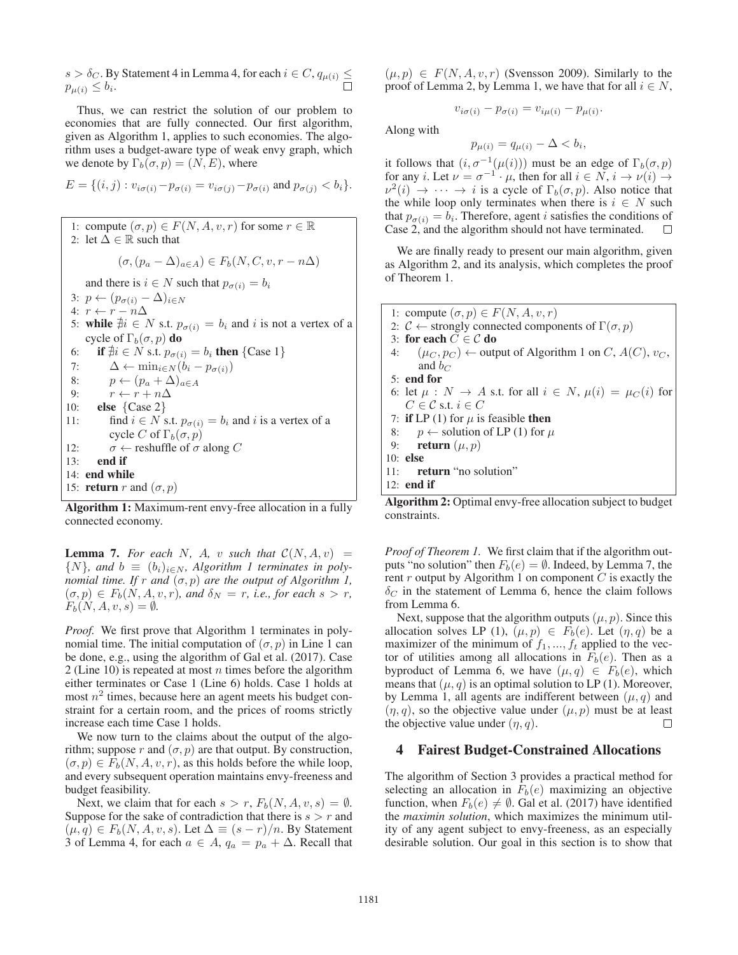$s > \delta_C$ . By Statement 4 in Lemma 4, for each  $i \in C$ ,  $q_{\mu(i)} \leq$  $p_{\mu(i)} \leq b_i$ .

Thus, we can restrict the solution of our problem to economies that are fully connected. Our first algorithm, given as Algorithm 1, applies to such economies. The algorithm uses a budget-aware type of weak envy graph, which we denote by  $\Gamma_b(\sigma, p) = (N, E)$ , where

$$
E = \{(i, j) : v_{i\sigma(i)} - p_{\sigma(i)} = v_{i\sigma(j)} - p_{\sigma(i)} \text{ and } p_{\sigma(j)} < b_i\}.
$$

1: compute  $(\sigma, p) \in F(N, A, v, r)$  for some  $r \in \mathbb{R}$ 2: let  $\Delta \in \mathbb{R}$  such that  $(\sigma,(p_a - \Delta)_{a \in A}) \in F_b(N, C, v, r - n\Delta)$ and there is  $i \in N$  such that  $p_{\sigma(i)} = b_i$ 3:  $p \leftarrow (p_{\sigma(i)} - \Delta)_{i \in N}$ <br>4:  $r \leftarrow r - n\Delta$ 4:  $r \leftarrow r - n\Delta$ <br>5. while ∄i ∈ 5: while  $\hat{\#}i \in N$  s.t.  $p_{\sigma(i)} = b_i$  and i is not a vertex of a cycle of  $\Gamma_i(\sigma_i)$  do cycle of  $\Gamma_b(\sigma, p)$  do 6: if  $\forall i \in N$  s.t.  $p_{\sigma(i)} = b_i$  then {Case 1}<br>7.  $\Delta \leftarrow \min_{i \in N} (b_i - n_{i(i)})$ 7:  $\Delta \leftarrow \min_{i \in N} (b_i - p_{\sigma(i)})$ <br>8:  $p \leftarrow (p_a + \Delta)_{a \in A}$ 8:  $p \leftarrow (p_a + \Delta)_{a \in A}$ <br>9:  $r \leftarrow r + n\Delta$ 9:  $r \leftarrow r + n\Delta$ <br>10: **else** {Case 2} 10: **else**  $\{Case 2\}$ <br>11: find  $i \in N$  s find  $i \in N$  s.t.  $p_{\sigma(i)} = b_i$  and i is a vertex of a cycle C of  $\Gamma_b(\sigma, p)$ 12:  $\sigma \leftarrow$  reshuffle of  $\sigma$  along C<br>13: **end if** end if 14: end while 15: **return** r and  $(\sigma, p)$ 

**Algorithm 1:** Maximum-rent envy-free allocation in a fully connected economy.

**Lemma 7.** For each N, A, v such that  $C(N, A, v)$  =  $\{N\}$ *, and*  $b \equiv (b_i)_{i \in N}$ *, Algorithm 1 terminates in polynomial time. If*  $r$  *and*  $(\sigma, p)$  *are the output of Algorithm 1,*  $(\sigma, p) \in F_b(N, A, v, r)$ , and  $\delta_N = r$ , i.e., for each  $s > r$ ,  $F_b(N, A, v, s) = \emptyset.$ 

*Proof.* We first prove that Algorithm 1 terminates in polynomial time. The initial computation of  $(\sigma, p)$  in Line 1 can be done, e.g., using the algorithm of Gal et al. (2017). Case 2 (Line 10) is repeated at most  $n$  times before the algorithm either terminates or Case 1 (Line 6) holds. Case 1 holds at most  $n^2$  times, because here an agent meets his budget constraint for a certain room, and the prices of rooms strictly increase each time Case 1 holds.

We now turn to the claims about the output of the algorithm; suppose r and  $(\sigma, p)$  are that output. By construction,  $(\sigma, p) \in F_b(N, A, v, r)$ , as this holds before the while loop, and every subsequent operation maintains envy-freeness and budget feasibility.

Next, we claim that for each  $s>r$ ,  $F_b(N, A, v, s) = \emptyset$ . Suppose for the sake of contradiction that there is  $s>r$  and  $(\mu, q) \in F_b(N, A, v, s)$ . Let  $\Delta \equiv (s - r)/n$ . By Statement 3 of Lemma 4, for each  $a \in A$ ,  $q_a = p_a + \Delta$ . Recall that  $(\mu, p) \in F(N, A, v, r)$  (Svensson 2009). Similarly to the proof of Lemma 2, by Lemma 1, we have that for all  $i \in N$ ,

$$
v_{i\sigma(i)} - p_{\sigma(i)} = v_{i\mu(i)} - p_{\mu(i)}.
$$

Along with

$$
p_{\mu(i)} = q_{\mu(i)} - \Delta < b_i,
$$

it follows that  $(i, \sigma^{-1}(\mu(i)))$  must be an edge of  $\Gamma_b(\sigma, p)$ <br>for any  $i \text{ I}$  et  $\nu = \sigma^{-1} \cdot \mu$  then for all  $i \in N$ ,  $i \rightarrow \nu(i)$ for any *i*. Let  $\nu = \sigma^{-1} \cdot \mu$ , then for all  $i \in N$ ,  $i \to \nu(i) \to \nu^2(i) \to \cdots \to i$  is a cycle of  $\Gamma_k(\sigma, n)$ . Also notice that  $\nu^2(i) \rightarrow \cdots \rightarrow i$  is a cycle of  $\Gamma_b(\sigma, p)$ . Also notice that the while loop only terminates when there is  $i \in N$  such that  $p_{\sigma(i)} = b_i$ . Therefore, agent *i* satisfies the conditions of Case 2, and the algorithm should not have terminated. Case 2, and the algorithm should not have terminated.

We are finally ready to present our main algorithm, given as Algorithm 2, and its analysis, which completes the proof of Theorem 1.

| 1: compute $(\sigma, p) \in F(N, A, v, r)$                                                                                                                                                                                                                                                                                                              |
|---------------------------------------------------------------------------------------------------------------------------------------------------------------------------------------------------------------------------------------------------------------------------------------------------------------------------------------------------------|
| 2: $C \leftarrow$ strongly connected components of $\Gamma(\sigma, p)$                                                                                                                                                                                                                                                                                  |
| 3: for each $C \in \mathcal{C}$ do                                                                                                                                                                                                                                                                                                                      |
| 4: $(\mu_C, p_C) \leftarrow$ output of Algorithm 1 on C, $A(C)$ , $v_C$ ,                                                                                                                                                                                                                                                                               |
| and $b_C$                                                                                                                                                                                                                                                                                                                                               |
| $5:$ end for                                                                                                                                                                                                                                                                                                                                            |
| 6: let $\mu : N \to A$ s.t. for all $i \in N$ , $\mu(i) = \mu_C(i)$ for                                                                                                                                                                                                                                                                                 |
| $C \in \mathcal{C}$ s.t. $i \in C$                                                                                                                                                                                                                                                                                                                      |
| 7: if LP (1) for $\mu$ is feasible then                                                                                                                                                                                                                                                                                                                 |
| 8: $p \leftarrow$ solution of LP (1) for $\mu$                                                                                                                                                                                                                                                                                                          |
| 9: <b>return</b> $(\mu, p)$                                                                                                                                                                                                                                                                                                                             |
| $10:$ else                                                                                                                                                                                                                                                                                                                                              |
| $11:$ return "no solution"                                                                                                                                                                                                                                                                                                                              |
| 12: end if                                                                                                                                                                                                                                                                                                                                              |
| $\sim$ 11 $\cdot$<br>$\mathbf{A}$ $\mathbf{B}$ $\mathbf{A}$ $\mathbf{A}$ $\mathbf{A}$ $\mathbf{A}$ $\mathbf{A}$ $\mathbf{A}$ $\mathbf{A}$ $\mathbf{A}$ $\mathbf{A}$ $\mathbf{A}$ $\mathbf{A}$ $\mathbf{A}$ $\mathbf{A}$ $\mathbf{A}$ $\mathbf{A}$ $\mathbf{A}$ $\mathbf{A}$ $\mathbf{A}$ $\mathbf{A}$ $\mathbf{A}$ $\mathbf{A}$ $\mathbf{A}$ $\mathbf{$ |

Algorithm 2: Optimal envy-free allocation subject to budget constraints.

*Proof of Theorem 1.* We first claim that if the algorithm outputs "no solution" then  $F_b(e) = \emptyset$ . Indeed, by Lemma 7, the rent  $r$  output by Algorithm 1 on component  $C$  is exactly the  $\delta_C$  in the statement of Lemma 6, hence the claim follows from Lemma 6.

Next, suppose that the algorithm outputs  $(\mu, p)$ . Since this allocation solves LP (1),  $(\mu, p) \in F_b(e)$ . Let  $(\eta, q)$  be a maximizer of the minimum of  $f_1, ..., f_t$  applied to the vector of utilities among all allocations in  $F_b(e)$ . Then as a byproduct of Lemma 6, we have  $(\mu, q) \in F_b(e)$ , which means that  $(\mu, q)$  is an optimal solution to LP (1). Moreover, by Lemma 1, all agents are indifferent between  $(\mu, q)$  and  $(\eta, q)$ , so the objective value under  $(\mu, p)$  must be at least<br>the objective value under  $(n, q)$ . the objective value under  $(\eta, q)$ .

### 4 Fairest Budget-Constrained Allocations

The algorithm of Section 3 provides a practical method for selecting an allocation in  $F_b(e)$  maximizing an objective function, when  $F_b(e) \neq \emptyset$ . Gal et al. (2017) have identified the *maximin solution*, which maximizes the minimum utility of any agent subject to envy-freeness, as an especially desirable solution. Our goal in this section is to show that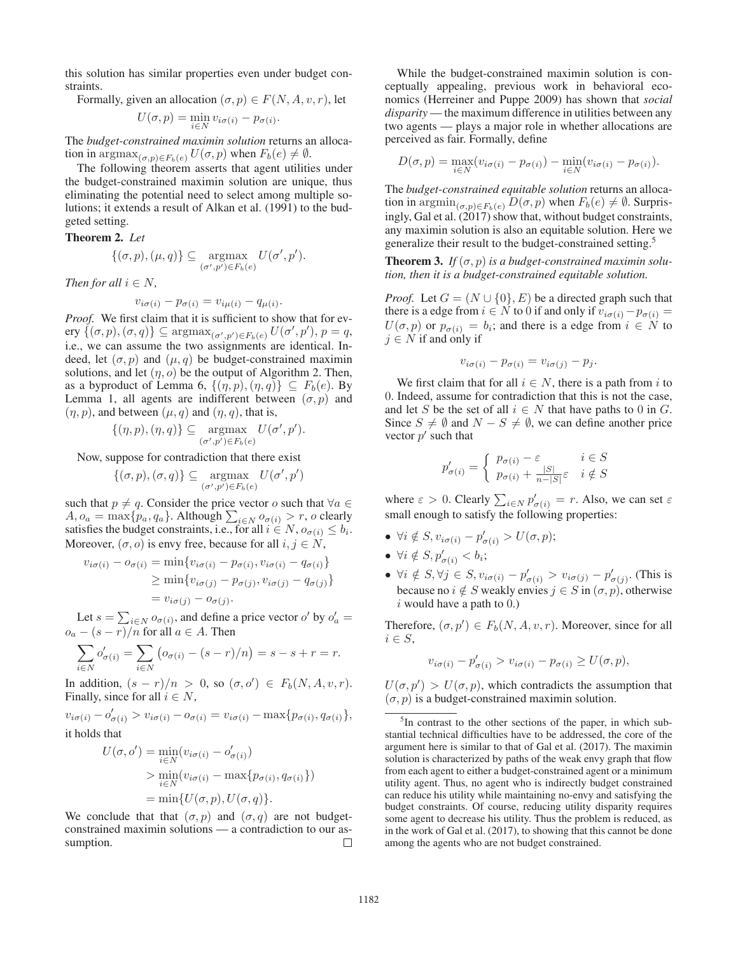this solution has similar properties even under budget constraints.

Formally, given an allocation 
$$
(\sigma, p) \in F(N, A, v, r)
$$
, let

$$
U(\sigma, p) = \min_{i \in N} v_{i\sigma(i)} - p_{\sigma(i)}.
$$

The *budget-constrained maximin solution* returns an allocation in  $\argmax_{(\sigma,p)\in F_b(e)} U(\sigma, p)$  when  $F_b(e) \neq \emptyset$ .

The following theorem asserts that agent utilities under the budget-constrained maximin solution are unique, thus eliminating the potential need to select among multiple solutions; it extends a result of Alkan et al. (1991) to the budgeted setting.

Theorem 2. *Let*

$$
\{(\sigma, p), (\mu, q)\} \subseteq \underset{(\sigma', p') \in F_b(e)}{\operatorname{argmax}} U(\sigma', p').
$$

*Then for all*  $i \in N$ ,

$$
v_{i\sigma(i)} - p_{\sigma(i)} = v_{i\mu(i)} - q_{\mu(i)}.
$$

 $v_{i\sigma(i)} - p_{\sigma(i)} = v_{i\mu(i)} - q_{\mu(i)}$ .<br>*Proof.* We first claim that it is sufficient to show that for every  $\{(\sigma, p), (\sigma, q)\} \subseteq \operatorname{argmax}_{(\sigma', p') \in F_b(e)} U(\sigma', p'), p = q,$ <br>i.e., we can assume the two assignments are identical Ini.e., we can assume the two assignments are identical. Indeed, let  $(\sigma, p)$  and  $(\mu, q)$  be budget-constrained maximin solutions, and let  $(\eta, o)$  be the output of Algorithm 2. Then, as a byproduct of Lemma 6,  $\{(\eta, p), (\eta, q)\} \subseteq F_b(e)$ . By Lemma 1, all agents are indifferent between  $(\sigma, p)$  and  $(\eta, p)$ , and between  $(\mu, q)$  and  $(\eta, q)$ , that is,

$$
\{(\eta, p), (\eta, q)\} \subseteq \operatorname*{argmax}_{(\sigma', p') \in F_b(e)} U(\sigma', p').
$$

Now, suppose for contradiction that there exist

$$
\{(\sigma, p), (\sigma, q)\} \subseteq \operatorname*{argmax}_{(\sigma', p') \in F_b(e)} U(\sigma', p')
$$

 $\overline{a}$ 

such that  $p \neq q$ . Consider the price vector o such that  $\forall a \in \mathcal{A}$  $A, o_a = \max\{p_a, q_a\}.$  Although  $\sum_{i \in N} o_{\sigma(i)} > r$ , o clearly satisfies the budget constraints i.e. for all  $i \in N$ ,  $o_{\sigma(i)} \leq h$ . satisfies the budget constraints, i.e., for all  $i \in N$ ,  $o_{\sigma(i)} \leq b_i$ . Moreover,  $(\sigma, o)$  is envy free, because for all  $i, j \in N$ ,

$$
v_{i\sigma(i)} - o_{\sigma(i)} = \min\{v_{i\sigma(i)} - p_{\sigma(i)}, v_{i\sigma(i)} - q_{\sigma(i)}\}
$$

$$
\geq \min\{v_{i\sigma(j)} - p_{\sigma(j)}, v_{i\sigma(j)} - q_{\sigma(j)}\}
$$

$$
= v_{i\sigma(j)} - o_{\sigma(j)}.
$$

Let  $s = \sum_{i \in N} o_{\sigma(i)}$ , and define a price vector o' by  $o'_a =$ <br>  $-(s-r)/n$  for all  $a \in A$ . Then  $o_a - (s - r)/n$  for all  $a \in A$ . Then

$$
\sum_{i \in N} o'_{\sigma(i)} = \sum_{i \in N} (o_{\sigma(i)} - (s - r)/n) = s - s + r = r.
$$

In addition,  $(s - r)/n > 0$ , so  $(\sigma, o') \in F_b(N, A, v, r)$ .<br>Finally since for all  $i \in N$ Finally, since for all  $i \in N$ ,

 $v_{i\sigma(i)} - o'_{\sigma(i)} > v_{i\sigma(i)} - o_{\sigma(i)} = v_{i\sigma(i)} - \max\{p_{\sigma(i)}, q_{\sigma(i)}\},$ it holds that

$$
U(\sigma, o') = \min_{i \in N} (v_{i\sigma(i)} - o'_{\sigma(i)})
$$
  
> 
$$
\min_{i \in N} (v_{i\sigma(i)} - \max\{p_{\sigma(i)}, q_{\sigma(i)}\})
$$
  
= 
$$
\min\{U(\sigma, p), U(\sigma, q)\}.
$$

We conclude that that  $(\sigma, p)$  and  $(\sigma, q)$  are not budget-<br>constrained maximin solutions — a contradiction to our asconstrained maximin solutions — a contradiction to our assumption.  $\Box$ 

While the budget-constrained maximin solution is conceptually appealing, previous work in behavioral economics (Herreiner and Puppe 2009) has shown that *social disparity* — the maximum difference in utilities between any two agents — plays a major role in whether allocations are perceived as fair. Formally, define

$$
D(\sigma, p) = \max_{i \in N} (v_{i\sigma(i)} - p_{\sigma(i)}) - \min_{i \in N} (v_{i\sigma(i)} - p_{\sigma(i)}).
$$

The *budget-constrained equitable solution* returns an allocation in  $\operatorname{argmin}_{(\sigma,p)\in F_b(e)} D(\sigma, p)$  when  $F_b(e) \neq \emptyset$ . Surprisingly, Gal et al.  $(2017)$  show that, without budget constraints, any maximin solution is also an equitable solution. Here we generalize their result to the budget-constrained setting.5

**Theorem 3.** If  $(\sigma, p)$  is a budget-constrained maximin solu*tion, then it is a budget-constrained equitable solution.*

*Proof.* Let  $G = (N \cup \{0\}, E)$  be a directed graph such that there is a edge from  $i \in N$  to 0 if and only if  $v_{i\sigma(i)} - p_{\sigma(i)} =$  $U(\sigma, p)$  or  $p_{\sigma(i)} = b_i$ ; and there is a edge from  $i \in N$  to  $j \in N$  if and only if

$$
v_{i\sigma(i)} - p_{\sigma(i)} = v_{i\sigma(j)} - p_j.
$$

We first claim that for all  $i \in N$ , there is a path from i to 0. Indeed, assume for contradiction that this is not the case, and let S be the set of all  $i \in N$  that have paths to 0 in G. Since  $S \neq \emptyset$  and  $N - S \neq \emptyset$ , we can define another price vector  $p'$  such that

$$
p'_{\sigma(i)} = \begin{cases} p_{\sigma(i)} - \varepsilon & i \in S \\ p_{\sigma(i)} + \frac{|S|}{n - |S|} \varepsilon & i \notin S \end{cases}
$$

where  $\varepsilon > 0$ . Clearly  $\sum_{i \in N} p'_{\sigma(i)} = r$ . Also, we can set  $\varepsilon$ <br>small apough to satisfy the following properties: small enough to satisfy the following properties:

- $\forall i \notin S, v_{i\sigma(i)} p'_{\sigma(i)} > U(\sigma, p);$
- $\forall i \notin S, p'_{\sigma(i)} < b_i;$
- $\forall i \notin S, \forall j \in S, v_{i\sigma(i)} p'_{\sigma(i)} > v_{i\sigma(j)} p'_{\sigma(j)}$ . (This is because no  $i \notin S$  weakly envies  $j \in S$  in  $(\sigma, p)$ , otherwise  $i$  would have a path to  $0.$ )

Therefore,  $(\sigma, p') \in F_b(N, A, v, r)$ . Moreover, since for all  $i \in S$  $i \in S$ ,

$$
v_{i\sigma(i)} - p'_{\sigma(i)} > v_{i\sigma(i)} - p_{\sigma(i)} \ge U(\sigma, p),
$$

 $U(\sigma, p') > U(\sigma, p)$ , which contradicts the assumption that  $(\sigma, p)$  is a budget-constrained maximin solution  $(\sigma, p)$  is a budget-constrained maximin solution.

<sup>&</sup>lt;sup>5</sup>In contrast to the other sections of the paper, in which substantial technical difficulties have to be addressed, the core of the argument here is similar to that of Gal et al. (2017). The maximin solution is characterized by paths of the weak envy graph that flow from each agent to either a budget-constrained agent or a minimum utility agent. Thus, no agent who is indirectly budget constrained can reduce his utility while maintaining no-envy and satisfying the budget constraints. Of course, reducing utility disparity requires some agent to decrease his utility. Thus the problem is reduced, as in the work of Gal et al. (2017), to showing that this cannot be done among the agents who are not budget constrained.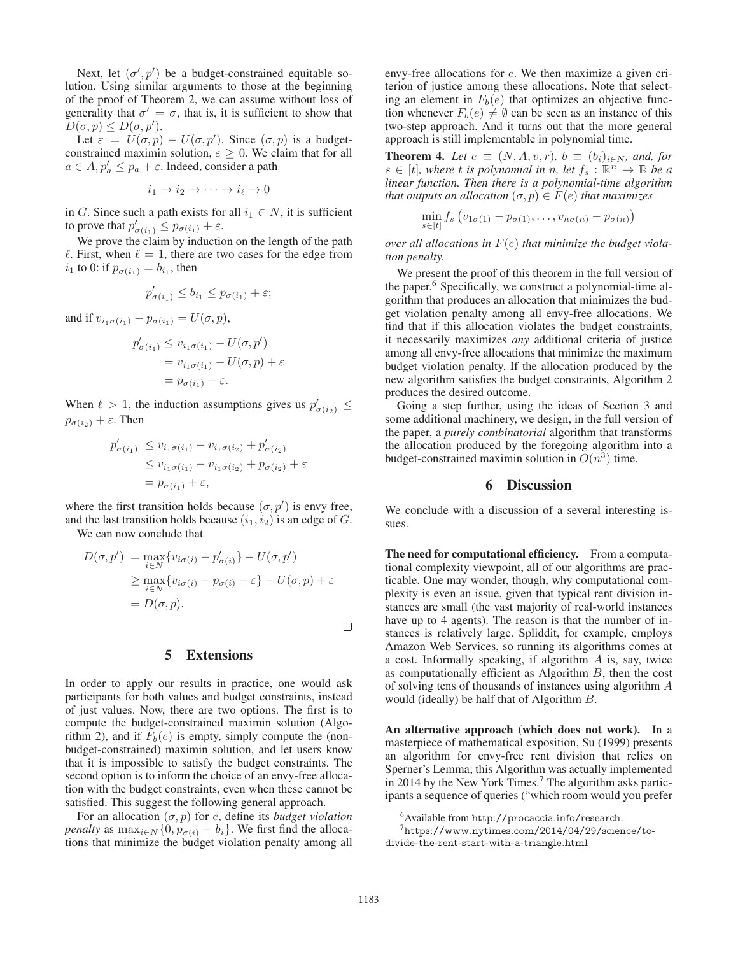Next, let  $(\sigma', p')$  be a budget-constrained equitable so-<br>ion Using similar arguments to those at the beginning lution. Using similar arguments to those at the beginning of the proof of Theorem 2, we can assume without loss of generality that  $\sigma' = \sigma$ , that is, it is sufficient to show that  $D(\sigma, p) \leq D(\sigma, p').$ <br>Let  $\varepsilon = U(\sigma, p)$ 

Let  $\varepsilon = U(\sigma, p) - U(\sigma, p')$ . Since  $(\sigma, p)$  is a budget-<br>nstrained maximin solution  $\varepsilon > 0$ . We claim that for all constrained maximin solution,  $\varepsilon \geq 0$ . We claim that for all  $a \in A$ ,  $p'_a \leq p_a + \varepsilon$ . Indeed, consider a path

$$
i_1 \to i_2 \to \cdots \to i_\ell \to 0
$$

in G. Since such a path exists for all  $i_1 \in N$ , it is sufficient to prove that  $p'_{\sigma(i_1)} \leq p_{\sigma(i_1)} + \varepsilon$ .<br>We prove the claim by induction

We prove the claim by induction on the length of the path  $\ell$ . First, when  $\ell = 1$ , there are two cases for the edge from  $i_1$  to 0: if  $p_{\sigma(i_1)} = b_{i_1}$ , then

$$
p'_{\sigma(i_1)} \le b_{i_1} \le p_{\sigma(i_1)} + \varepsilon;
$$

and if  $v_{i_1\sigma(i_1)} - p_{\sigma(i_1)} = U(\sigma, p)$ ,

$$
p'_{\sigma(i_1)} \le v_{i_1\sigma(i_1)} - U(\sigma, p')
$$
  
=  $v_{i_1\sigma(i_1)} - U(\sigma, p) + \varepsilon$   
=  $p_{\sigma(i_1)} + \varepsilon$ .

When  $\ell > 1$ , the induction assumptions gives us  $p'_{\sigma(i_2)} \leq$  $p_{\sigma(i_2)} + \varepsilon$ . Then

$$
p'_{\sigma(i_1)} \le v_{i_1\sigma(i_1)} - v_{i_1\sigma(i_2)} + p'_{\sigma(i_2)}
$$
  
\n
$$
\le v_{i_1\sigma(i_1)} - v_{i_1\sigma(i_2)} + p_{\sigma(i_2)} + \varepsilon
$$
  
\n
$$
= p_{\sigma(i_1)} + \varepsilon,
$$

where the first transition holds because  $(\sigma, p')$  is envy free,<br>and the last transition holds because  $(i_1, i_2)$  is an edge of  $G$ and the last transition holds because  $(i_1, i_2)$  is an edge of G.

We can now conclude that

$$
D(\sigma, p') = \max_{i \in N} \{v_{i\sigma(i)} - p'_{\sigma(i)}\} - U(\sigma, p')
$$
  
\n
$$
\geq \max_{i \in N} \{v_{i\sigma(i)} - p_{\sigma(i)} - \varepsilon\} - U(\sigma, p) + \varepsilon
$$
  
\n
$$
= D(\sigma, p).
$$

### 5 Extensions

In order to apply our results in practice, one would ask participants for both values and budget constraints, instead of just values. Now, there are two options. The first is to compute the budget-constrained maximin solution (Algorithm 2), and if  $F_b(e)$  is empty, simply compute the (nonbudget-constrained) maximin solution, and let users know that it is impossible to satisfy the budget constraints. The second option is to inform the choice of an envy-free allocation with the budget constraints, even when these cannot be satisfied. This suggest the following general approach.

For an allocation  $(\sigma, p)$  for e, define its *budget violation*<br>*nalty* as  $\max_{\sigma \in \mathbb{R}} \{0, n_{\sigma, \sigma} - h\}$ . We first find the alloca*penalty* as  $\max_{i \in \mathbb{N}} \{0, p_{\sigma(i)} - b_i\}$ . We first find the allocations that minimize the budget violation penalty among all tions that minimize the budget violation penalty among all envy-free allocations for e. We then maximize a given criterion of justice among these allocations. Note that selecting an element in  $F_b(e)$  that optimizes an objective function whenever  $F_b(e) \neq \emptyset$  can be seen as an instance of this two-step approach. And it turns out that the more general approach is still implementable in polynomial time.

**Theorem 4.** Let  $e \equiv (N, A, v, r)$ ,  $b \equiv (b_i)_{i \in N}$ , and, for  $s \in [t]$ *, where t is polynomial in n, let*  $f_s : \mathbb{R}^n \to \mathbb{R}$  *be a linear function. Then there is a polynomial-time algorithm that outputs an allocation*  $(\sigma, p) \in F(e)$  *that maximizes* 

$$
\min_{s\in[t]} f_s \left(v_{1\sigma(1)}-p_{\sigma(1)},\ldots,v_{n\sigma(n)}-p_{\sigma(n)}\right)
$$

*over all allocations in* <sup>F</sup>(e) *that minimize the budget violation penalty.*

We present the proof of this theorem in the full version of the paper.6 Specifically, we construct a polynomial-time algorithm that produces an allocation that minimizes the budget violation penalty among all envy-free allocations. We find that if this allocation violates the budget constraints, it necessarily maximizes *any* additional criteria of justice among all envy-free allocations that minimize the maximum budget violation penalty. If the allocation produced by the new algorithm satisfies the budget constraints, Algorithm 2 produces the desired outcome.

Going a step further, using the ideas of Section 3 and some additional machinery, we design, in the full version of the paper, a *purely combinatorial* algorithm that transforms the allocation produced by the foregoing algorithm into a budget-constrained maximin solution in  $O(n^3)$  time.

# 6 Discussion

We conclude with a discussion of a several interesting issues.

The need for computational efficiency. From a computational complexity viewpoint, all of our algorithms are practicable. One may wonder, though, why computational complexity is even an issue, given that typical rent division instances are small (the vast majority of real-world instances have up to 4 agents). The reason is that the number of instances is relatively large. Spliddit, for example, employs Amazon Web Services, so running its algorithms comes at a cost. Informally speaking, if algorithm  $A$  is, say, twice as computationally efficient as Algorithm  $B$ , then the cost of solving tens of thousands of instances using algorithm A would (ideally) be half that of Algorithm B.

An alternative approach (which does not work). In a masterpiece of mathematical exposition, Su (1999) presents an algorithm for envy-free rent division that relies on Sperner's Lemma; this Algorithm was actually implemented in 2014 by the New York Times.<sup>7</sup> The algorithm asks participants a sequence of queries ("which room would you prefer

 $\Box$ 

<sup>6</sup> Available from http://procaccia.info/research.

 $^{7}$ https://www.nytimes.com/2014/04/29/science/todivide-the-rent-start-with-a-triangle.html